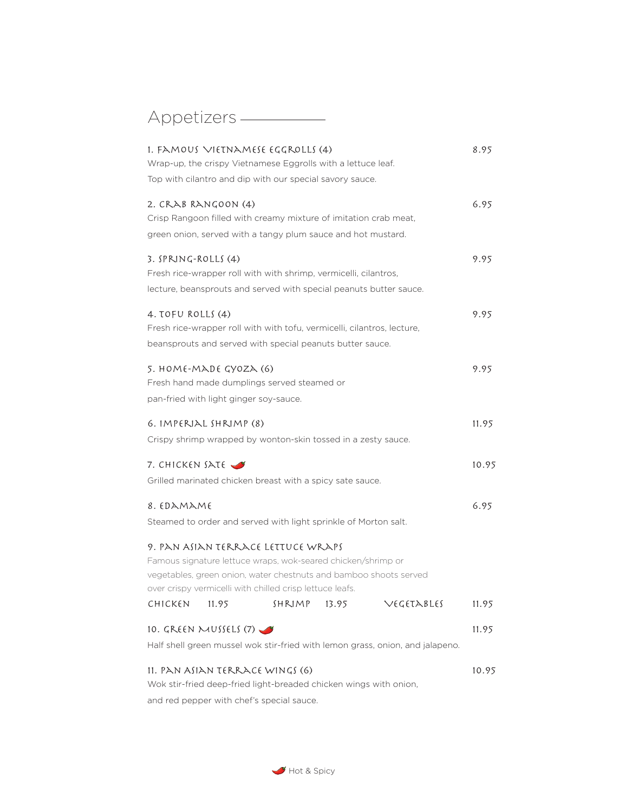# Appetizers —

|                                        |       | 1. FAMOUS VIETNAMESE EGGROLLS (4)                                                                                             |       |                                                                               | 8.95  |
|----------------------------------------|-------|-------------------------------------------------------------------------------------------------------------------------------|-------|-------------------------------------------------------------------------------|-------|
|                                        |       | Wrap-up, the crispy Vietnamese Eggrolls with a lettuce leaf.                                                                  |       |                                                                               |       |
|                                        |       | Top with cilantro and dip with our special savory sauce.                                                                      |       |                                                                               |       |
| 2. CRAB RANGOON (4)                    |       |                                                                                                                               |       |                                                                               | 6.95  |
|                                        |       | Crisp Rangoon filled with creamy mixture of imitation crab meat,                                                              |       |                                                                               |       |
|                                        |       | green onion, served with a tangy plum sauce and hot mustard.                                                                  |       |                                                                               |       |
| 3. SPRING-ROLLS (4)                    |       |                                                                                                                               |       |                                                                               | 9.95  |
|                                        |       | Fresh rice-wrapper roll with with shrimp, vermicelli, cilantros,                                                              |       |                                                                               |       |
|                                        |       | lecture, beansprouts and served with special peanuts butter sauce.                                                            |       |                                                                               |       |
| 4. TOFU ROLLS (4)                      |       |                                                                                                                               |       |                                                                               | 9.95  |
|                                        |       | Fresh rice-wrapper roll with with tofu, vermicelli, cilantros, lecture,                                                       |       |                                                                               |       |
|                                        |       | beansprouts and served with special peanuts butter sauce.                                                                     |       |                                                                               |       |
| 5. HOME-MADE GYOZA (6)                 |       |                                                                                                                               |       |                                                                               | 9.95  |
|                                        |       | Fresh hand made dumplings served steamed or                                                                                   |       |                                                                               |       |
| pan-fried with light ginger soy-sauce. |       |                                                                                                                               |       |                                                                               |       |
| 6. IMPERIAL SHRIMP (8)                 |       |                                                                                                                               |       |                                                                               | 11.95 |
|                                        |       | Crispy shrimp wrapped by wonton-skin tossed in a zesty sauce.                                                                 |       |                                                                               |       |
| 7. CHICKEN SATE                        |       |                                                                                                                               |       |                                                                               | 10.95 |
|                                        |       | Grilled marinated chicken breast with a spicy sate sauce.                                                                     |       |                                                                               |       |
| 8. EDAMAME                             |       |                                                                                                                               |       |                                                                               | 6.95  |
|                                        |       | Steamed to order and served with light sprinkle of Morton salt.                                                               |       |                                                                               |       |
|                                        |       | 9. PAN ASIAN TERRACE LETTUCE WRAPS                                                                                            |       |                                                                               |       |
|                                        |       | Famous signature lettuce wraps, wok-seared chicken/shrimp or                                                                  |       |                                                                               |       |
|                                        |       | vegetables, green onion, water chestnuts and bamboo shoots served<br>over crispy vermicelli with chilled crisp lettuce leafs. |       |                                                                               |       |
| CHICKEN                                | 11.95 | SHRIMP                                                                                                                        | 13.95 | VEGETABLES                                                                    | 11.95 |
| 10. GREEN MUSSELS (7)                  |       |                                                                                                                               |       |                                                                               | 11.95 |
|                                        |       |                                                                                                                               |       |                                                                               |       |
|                                        |       |                                                                                                                               |       | Half shell green mussel wok stir-fried with lemon grass, onion, and jalapeno. |       |
|                                        |       | 11. PAN ASIAN TERRACE WINGS (6)                                                                                               |       |                                                                               | 10.95 |
|                                        |       | Wok stir-fried deep-fried light-breaded chicken wings with onion,                                                             |       |                                                                               |       |
|                                        |       | and red pepper with chef's special sauce.                                                                                     |       |                                                                               |       |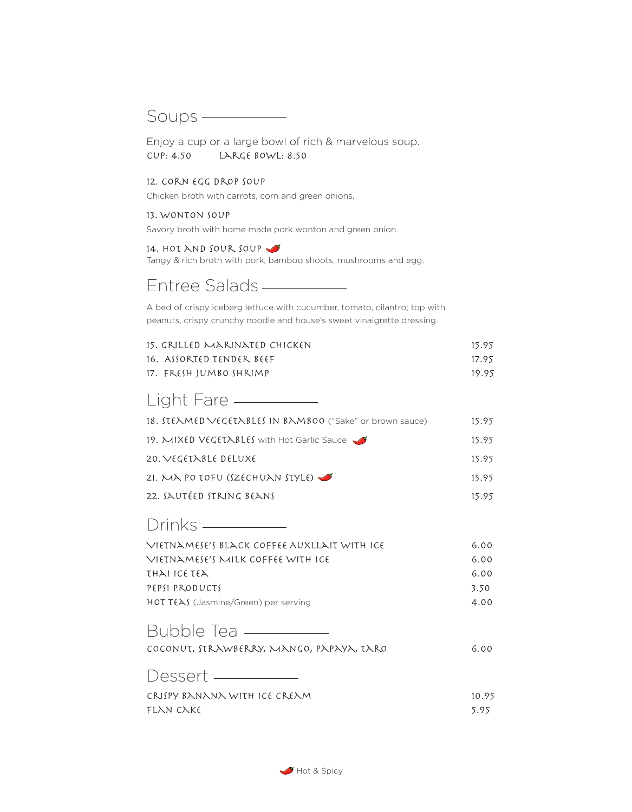### Soups ————

Enjoy a cup or a large bowl of rich & marvelous soup. Cup: 4.50 Large bowl: 8.50

#### 12. Corn Egg Drop Soup

Chicken broth with carrots, corn and green onions.

### 13. Wonton Soup

Savory broth with home made pork wonton and green onion.

### 14. HOT AND SOUR SOUP

Tangy & rich broth with pork, bamboo shoots, mushrooms and egg.

### Entree Salads

A bed of crispy iceberg lettuce with cucumber, tomato, cilantro; top with peanuts, crispy crunchy noodle and house's sweet vinaigrette dressing.

| 15. grilled marinated chicken | 15.95 |
|-------------------------------|-------|
| 16.  ASSORTED TENDER. BEEF    | 17.95 |
| 17. FRESH IUMBO SHRIMP        | 19.95 |

### 18. Steamed Vegetables in Bamboo ("Sake" or brown sauce) 15.95 Light Fare ————

| 10. SLCAPICD VCGCLADLCS IN DAPIDOU (SAKE OF DIOWII SAUCE) | 12.72 |
|-----------------------------------------------------------|-------|
| 19. MIXED VEGETABLES with Hot Garlic Sauce                | 15.95 |
| 20. VEGETABLE DELUXE                                      | 15.95 |
| 21. MA PO TOFU (SZECHUAN STYLE) $\blacktriangledown$      | 15.95 |
| 22. SAUTÉED STRING BEANS                                  | 15.95 |

## Drinks —

| VIETNAMESE'S BLACK COFFEE AUXLLAIT WITH ICE | 6.00 |
|---------------------------------------------|------|
| Vietnamese's milk coffee with ice           | 6.00 |
| τhλi ice τελ                                | 6.00 |
| PEPSI PRODUCTS                              | 3.50 |
| <b>HOT TEAS</b> (Jasmine/Green) per serving | 4.00 |
|                                             |      |

### Bubble Tea

| COCONUT, STRAWBERRY, MANGO, PAPAYA, TARO | 6.00  |
|------------------------------------------|-------|
| Dessert ——                               |       |
| CRISPY BANANA WITH ICE CREAM             | 10.95 |
| FLAN CAKE                                | 5.95  |

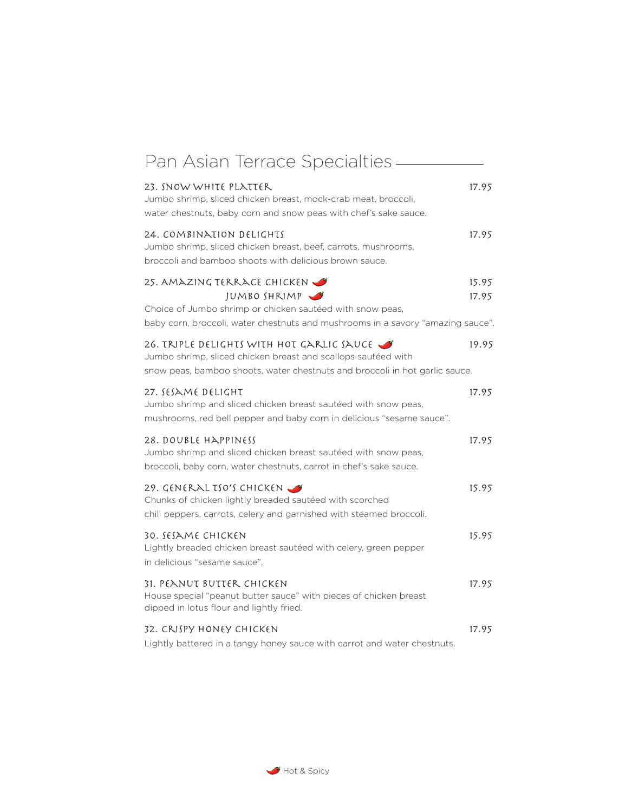| Pan Asian Terrace Specialties -                                                                                                                                                                         |       |
|---------------------------------------------------------------------------------------------------------------------------------------------------------------------------------------------------------|-------|
| 23. SNOW WHITE PLATTER<br>Jumbo shrimp, sliced chicken breast, mock-crab meat, broccoli,<br>water chestnuts, baby corn and snow peas with chef's sake sauce.                                            | 17.95 |
| 24. COMBINATION DELIGHTS<br>Jumbo shrimp, sliced chicken breast, beef, carrots, mushrooms,<br>broccoli and bamboo shoots with delicious brown sauce.                                                    | 17.95 |
| 25. AMAZING TERRACE CHICKEN                                                                                                                                                                             | 15.95 |
| JUMBOSHRIMP<br>Choice of Jumbo shrimp or chicken sautéed with snow peas,<br>baby corn, broccoli, water chestnuts and mushrooms in a savory "amazing sauce".                                             | 17.95 |
| 26. TRIPLE DELIGHTS WITH HOT GARLIC SAUCE $\rightarrow$<br>Jumbo shrimp, sliced chicken breast and scallops sautéed with<br>snow peas, bamboo shoots, water chestnuts and broccoli in hot garlic sauce. | 19.95 |
| 27. SESAME DELIGHT<br>Jumbo shrimp and sliced chicken breast sautéed with snow peas,<br>mushrooms, red bell pepper and baby corn in delicious "sesame sauce".                                           | 17.95 |
| 28. DOUBLE HAPPINESS<br>Jumbo shrimp and sliced chicken breast sautéed with snow peas,<br>broccoli, baby corn, water chestnuts, carrot in chef's sake sauce.                                            | 17.95 |
| 29. GENERAL TSO'S CHICKEN<br>Chunks of chicken lightly breaded sautéed with scorched<br>chili peppers, carrots, celery and garnished with steamed broccoli.                                             | 15.95 |
| 30. SESAME CHICKEN<br>Lightly breaded chicken breast sautéed with celery, green pepper<br>in delicious "sesame sauce".                                                                                  | 15.95 |
| 31. PEANUT BUTTER CHICKEN<br>House special "peanut butter sauce" with pieces of chicken breast<br>dipped in lotus flour and lightly fried.                                                              | 17.95 |
| 32. CRISPY HONEY CHICKEN<br>Lightly battered in a tangy honey sauce with carrot and water chestnuts.                                                                                                    | 17.95 |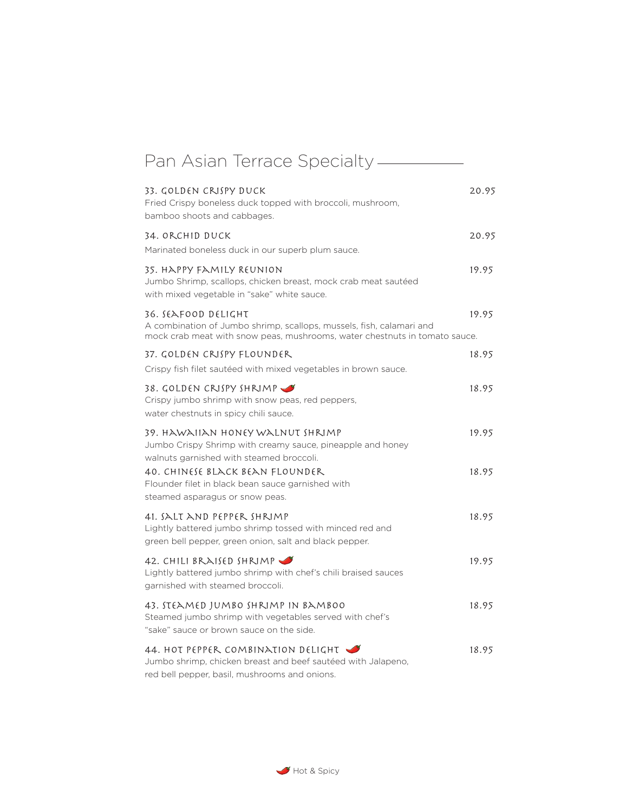| Pan Asian Terrace Specialty —                                                                                                                                                 |                |
|-------------------------------------------------------------------------------------------------------------------------------------------------------------------------------|----------------|
| 33. GOLDEN CRISPY DUCK<br>Fried Crispy boneless duck topped with broccoli, mushroom,<br>bamboo shoots and cabbages.                                                           | 20.95          |
| 34. ORCHID DUCK<br>Marinated boneless duck in our superb plum sauce.                                                                                                          | 20.95          |
| 35. HAPPY FAMILY REUNION<br>Jumbo Shrimp, scallops, chicken breast, mock crab meat sautéed<br>with mixed vegetable in "sake" white sauce.                                     | 19.95          |
| 36. SEAFOOD DELIGHT<br>A combination of Jumbo shrimp, scallops, mussels, fish, calamari and<br>mock crab meat with snow peas, mushrooms, water chestnuts in tomato sauce.     | 19.95          |
| 37. GOLDEN CRISPY FLOUNDER                                                                                                                                                    | 18.95          |
| Crispy fish filet sautéed with mixed vegetables in brown sauce.                                                                                                               |                |
| 38. GOLDEN CRISPY SHRIMP<br>Crispy jumbo shrimp with snow peas, red peppers,<br>water chestnuts in spicy chili sauce.                                                         | 18.95          |
| 39. HAWAIIAN HONEY WALNUT SHRIMP<br>Jumbo Crispy Shrimp with creamy sauce, pineapple and honey<br>walnuts garnished with steamed broccoli.<br>40. CHINESE BLACK BEAN FLOUNDER | 19.95<br>18.95 |
| Flounder filet in black bean sauce garnished with<br>steamed asparagus or snow peas.                                                                                          |                |
| 41. SALT AND PEPPER SHRIMP<br>Lightly battered jumbo shrimp tossed with minced red and<br>green bell pepper, green onion, salt and black pepper.                              | 18.95          |
| 42. CHILI BRAISED SHRIMP<br>Lightly battered jumbo shrimp with chef's chili braised sauces<br>garnished with steamed broccoli.                                                | 19.95          |
| 43. STEAMED JUMBO SHRIMP IN BAMBOO<br>Steamed jumbo shrimp with vegetables served with chef's<br>"sake" sauce or brown sauce on the side.                                     | 18.95          |
| 44. HOT PEPPER COMBINATION DELIGHT<br>Jumbo shrimp, chicken breast and beef sautéed with Jalapeno,<br>red bell pepper, basil, mushrooms and onions.                           | 18.95          |

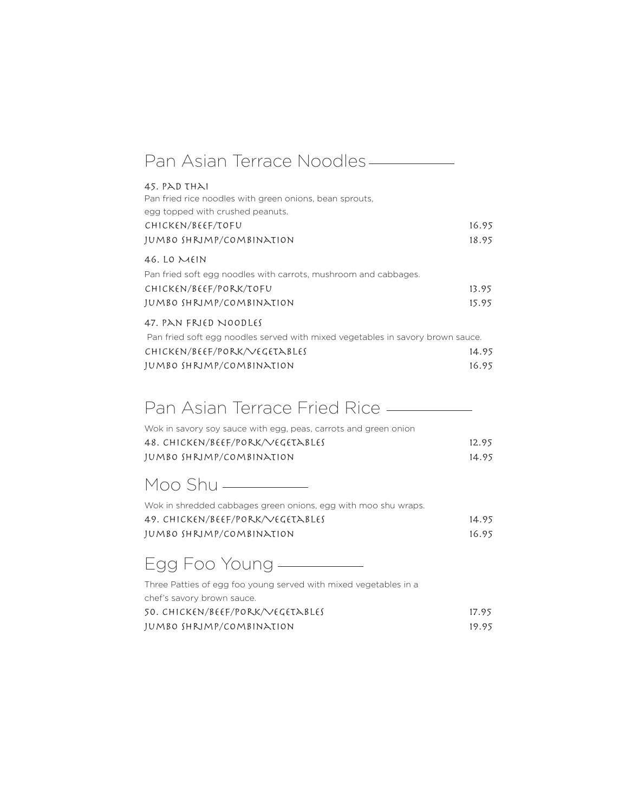| Pan Asian Terrace Noodles-                                                                                  |       |
|-------------------------------------------------------------------------------------------------------------|-------|
| 45. PAD THAI<br>Pan fried rice noodles with green onions, bean sprouts,<br>egg topped with crushed peanuts. |       |
| CHICKEN/BEEF/TOFU                                                                                           | 16.95 |
| JUMBO SHRIMP/COMBINATION                                                                                    | 18.95 |
| 46. LO $MHN$                                                                                                |       |
| Pan fried soft egg noodles with carrots, mushroom and cabbages.                                             |       |
| CHICKEN/BEEF/PORK/TOFU                                                                                      | 13.95 |
| JUMBO SHRIMP/COMBINATION                                                                                    | 15.95 |
| 47. PAN FRIED NOODLES                                                                                       |       |
| Pan fried soft egg noodles served with mixed vegetables in savory brown sauce.                              |       |
| CHICKEN/BEEF/PORK/VEGETABLES                                                                                | 14.95 |
| JUMBO SHRIMP/COMBINATION                                                                                    | 16.95 |

# Pan Asian Terrace Fried Rice **- Theory Assembly**

| Wok in savory soy sauce with egg, peas, carrots and green onion |       |
|-----------------------------------------------------------------|-------|
| 48. CHICKEN/BEEF/PORK/VEGETABLES                                | 12.95 |
| JUMBO SHRIMP/COMBINATION                                        | 14.95 |

# Moo Shu

| Wok in shredded cabbages green onions, egg with moo shu wraps. |       |
|----------------------------------------------------------------|-------|
| 49. CHICKEN/BEEF/PORK/VEGETABLES                               | 14.95 |
| JUMBO SHRIMP/COMBINATION                                       | 16.95 |

# Egg Foo Young

Three Patties of egg foo young served with mixed vegetables in a chef's savory brown sauce. 50. Chicken/Beef/Pork/Vegetables 17.95 Jumbo Shrimp/Combination 19.95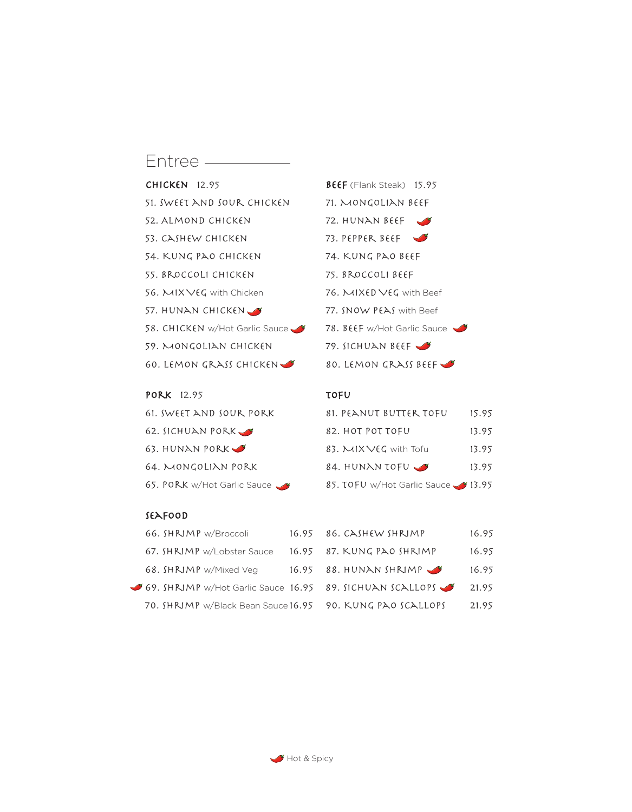# Entree ————

| $CHICKEN$ 12.95                |
|--------------------------------|
| 51. SWEET AND SOUR CHICKEN     |
| 52. ALMOND CHICKEN             |
| 53. CASHEW CHICKEN             |
| 54. KUNG PAO CHICKEN           |
| 55. BROCCOLI CHICKEN           |
| 56. $MIXVEG$ with Chicken      |
| 57. HUNAN CHICKEN              |
| 58. CHICKEN w/Hot Garlic Sauce |
| 59. Nongolian chicken          |
| 60. LEMON GRASS CHICKEN        |
|                                |

| <b>PORK</b> 12.95           | <b>TOFU</b>        |
|-----------------------------|--------------------|
| 61. SWEET AND SOUR PORK     | 81. PE             |
| 62. SICHUAN PORK            | 82. H <sub>0</sub> |
| 63. HUNAN PORK $\bullet$    | 83. $\bowtie$      |
| 64. MONGOLIAN PORK          | 84. HI             |
| 65. PORK w/Hot Garlic Sauce | 85. TO             |

## BEEF (Flank Steak) 15.95 71. MONGOLIAN BEEF 72. HUNAN BEEF 73. PEPPER BEEF 74. KUNG PAO BEEF 75. BROCCOLI BEEF 76.  $MIXEDVEG$  with Beef 77. SNOW PEAS with Beef  $\blacktriangleright$  78. BEEF w/Hot Garlic Sauce  $\blacktriangleright$ 79. SICHUAN BEEF 80. LEMON GRASS BEEF

| 61. SWEET AND SOUR PORK     | 81. PEANUT BUTTER TOFU             | 15.95 |
|-----------------------------|------------------------------------|-------|
| 62. SICHUAN PORK S          | 82. HOT POT TOFU                   | 13.95 |
| 63. HUNAN PORK              | 83. MIXVEG with Tofu               | 13.95 |
| 64. MONGOLIAN PORK          | 84. HUNAN TOFU                     | 13.95 |
| 65. PORK w/Hot Garlic Sauce | 85. TOFU w/Hot Garlic Sauce 313.95 |       |

### Seafood

| 66. SHRIMP w/Broccoli                                     | $16.95$ 86. CASHEW SHRIMP   | 16.95 |
|-----------------------------------------------------------|-----------------------------|-------|
| 67. SHRIMP w/Lobster Sauce                                | $16.95$ 87. KUNG PAO SHRIMP | 16.95 |
| 68. SHRIMP w/Mixed Veg                                    | $16.95$ 88. HUNAN SHRIMP    | 16.95 |
| 69. SHRIMP w/Hot Garlic Sauce 16.95 89. SICHUAN SCALLOPS  |                             | 21.95 |
| 70. SHRIMP w/Black Bean Sauce 16.95 90. KUNG PAO SCALLOPS |                             | 21.95 |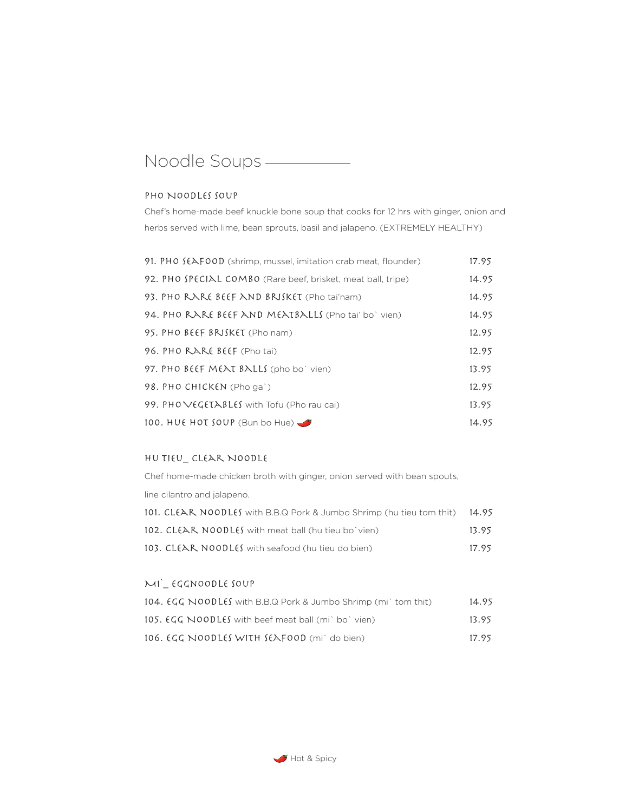# Noodle Soups

### PHO NOODLES SOUP

Chef's home-made beef knuckle bone soup that cooks for 12 hrs with ginger, onion and herbs served with lime, bean sprouts, basil and jalapeno. (EXTREMELY HEALTHY)

| 91. PHO SEAFOOD (shrimp, mussel, imitation crab meat, flounder) | 17.95 |
|-----------------------------------------------------------------|-------|
| 92. PHO SPECIAL COMBO (Rare beef, brisket, meat ball, tripe)    | 14.95 |
| 93. PHO RARE BEEF AND BRISKET (Pho tai'nam)                     | 14.95 |
| 94. PHO RARE BEEF AND MEATBALLS (Pho tai' bo` vien)             | 14.95 |
| 95. PHO BEEF BRISKET (Pho nam)                                  | 12.95 |
| 96. PHO RARE BEEF (Pho tai)                                     | 12.95 |
| 97. PHO BEEF MEAT BALLS (pho bo' vien)                          | 13.95 |
| 98. PHO CHICKEN (Pho ga`)                                       | 12.95 |
| 99. PHO VEGETABLES with Tofu (Pho rau cai)                      | 13.95 |
| 100. HUE HOT SOUP (Bun bo Hue)                                  | 14.95 |

#### Hu Tieu\_ Clear Noodle

Chef home-made chicken broth with ginger, onion served with bean spouts, line cilantro and jalapeno. 101. CLEAR NOODLES with B.B.Q Pork & Jumbo Shrimp (hu tieu tom thit) 14.95 102. CL(AR NOODL(S with meat ball (hu tieu bo`vien) 13.95

|                                                   | .     |
|---------------------------------------------------|-------|
| 103. CLEAR NOODLES with seafood (hu tieu do bien) | 17.95 |

### Mi`\_ Eggnoodle Soup

| 104. EGG NOODLES with B.B.Q Pork & Jumbo Shrimp (mi) tom thit) | 14.95 |
|----------------------------------------------------------------|-------|
| 105. EGG NOODLES with beef meat ball (mi) bo' vien)            | 13.95 |
| 106. EGG NOODLES WITH SEAFOOD (mi) do bien)                    | 17.95 |